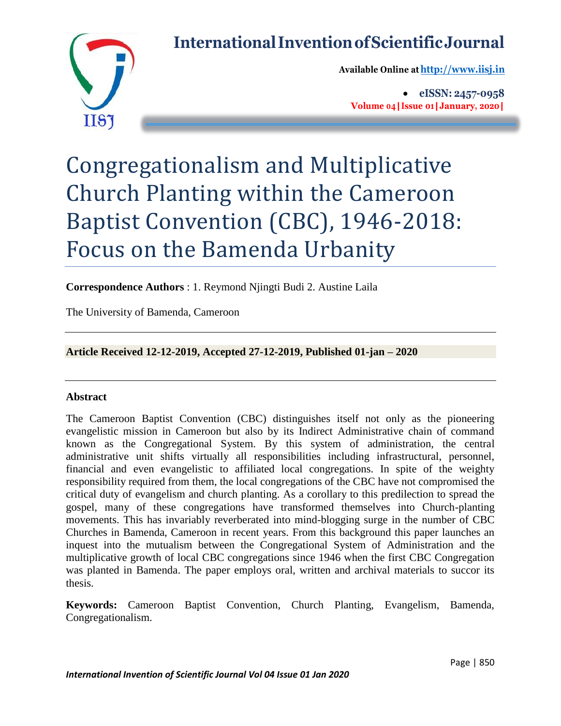# **International InventionofScientificJournal**



**Available Online at[http://www.iisj.in](http://www.iisj.in/)**

 **eISSN: 2457-0958 Volume 04|Issue 01|January, 2020|**

# Congregationalism and Multiplicative Church Planting within the Cameroon Baptist Convention (CBC), 1946-2018: Focus on the Bamenda Urbanity

**Correspondence Authors** : 1. Reymond Njingti Budi 2. Austine Laila

The University of Bamenda, Cameroon

**Article Received 12-12-2019, Accepted 27-12-2019, Published 01-jan – 2020**

# **Abstract**

The Cameroon Baptist Convention (CBC) distinguishes itself not only as the pioneering evangelistic mission in Cameroon but also by its Indirect Administrative chain of command known as the Congregational System. By this system of administration, the central administrative unit shifts virtually all responsibilities including infrastructural, personnel, financial and even evangelistic to affiliated local congregations. In spite of the weighty responsibility required from them, the local congregations of the CBC have not compromised the critical duty of evangelism and church planting. As a corollary to this predilection to spread the gospel, many of these congregations have transformed themselves into Church-planting movements. This has invariably reverberated into mind-blogging surge in the number of CBC Churches in Bamenda, Cameroon in recent years. From this background this paper launches an inquest into the mutualism between the Congregational System of Administration and the multiplicative growth of local CBC congregations since 1946 when the first CBC Congregation was planted in Bamenda. The paper employs oral, written and archival materials to succor its thesis.

**Keywords:** Cameroon Baptist Convention, Church Planting, Evangelism, Bamenda, Congregationalism.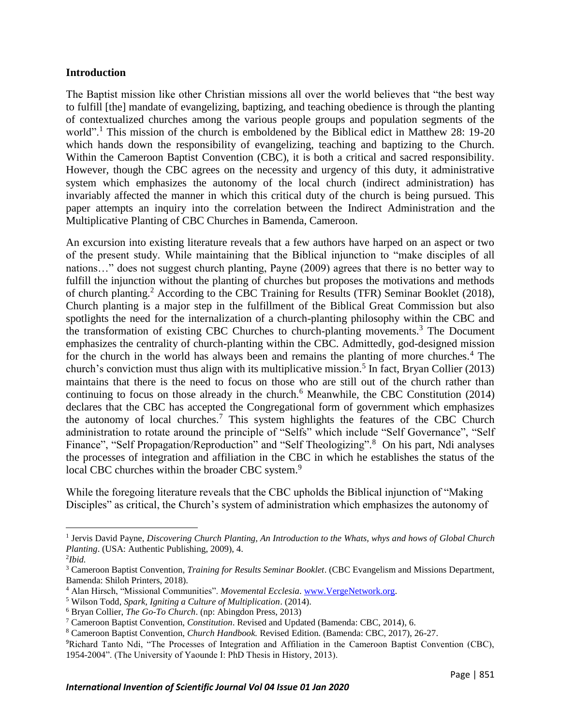#### **Introduction**

The Baptist mission like other Christian missions all over the world believes that "the best way to fulfill [the] mandate of evangelizing, baptizing, and teaching obedience is through the planting of contextualized churches among the various people groups and population segments of the world".<sup>1</sup> This mission of the church is emboldened by the Biblical edict in Matthew 28: 19-20 which hands down the responsibility of evangelizing, teaching and baptizing to the Church. Within the Cameroon Baptist Convention (CBC), it is both a critical and sacred responsibility. However, though the CBC agrees on the necessity and urgency of this duty, it administrative system which emphasizes the autonomy of the local church (indirect administration) has invariably affected the manner in which this critical duty of the church is being pursued. This paper attempts an inquiry into the correlation between the Indirect Administration and the Multiplicative Planting of CBC Churches in Bamenda, Cameroon.

An excursion into existing literature reveals that a few authors have harped on an aspect or two of the present study. While maintaining that the Biblical injunction to "make disciples of all nations…" does not suggest church planting, Payne (2009) agrees that there is no better way to fulfill the injunction without the planting of churches but proposes the motivations and methods of church planting.<sup>2</sup> According to the CBC Training for Results (TFR) Seminar Booklet (2018), Church planting is a major step in the fulfillment of the Biblical Great Commission but also spotlights the need for the internalization of a church-planting philosophy within the CBC and the transformation of existing CBC Churches to church-planting movements.<sup>3</sup> The Document emphasizes the centrality of church-planting within the CBC. Admittedly, god-designed mission for the church in the world has always been and remains the planting of more churches.<sup>4</sup> The church's conviction must thus align with its multiplicative mission.<sup>5</sup> In fact, Bryan Collier (2013) maintains that there is the need to focus on those who are still out of the church rather than continuing to focus on those already in the church.<sup>6</sup> Meanwhile, the CBC Constitution  $(2014)$ declares that the CBC has accepted the Congregational form of government which emphasizes the autonomy of local churches.<sup>7</sup> This system highlights the features of the CBC Church administration to rotate around the principle of "Selfs" which include "Self Governance", "Self Finance", "Self Propagation/Reproduction" and "Self Theologizing".<sup>8</sup> On his part, Ndi analyses the processes of integration and affiliation in the CBC in which he establishes the status of the local CBC churches within the broader CBC system.<sup>9</sup>

While the foregoing literature reveals that the CBC upholds the Biblical injunction of "Making Disciples" as critical, the Church's system of administration which emphasizes the autonomy of

 $\overline{\phantom{a}}$ 

<sup>&</sup>lt;sup>1</sup> Jervis David Payne, *Discovering Church Planting, An Introduction to the Whats, whys and hows of Global Church Planting*. (USA: Authentic Publishing, 2009), 4.

<sup>2</sup> *Ibid.* 

<sup>3</sup> Cameroon Baptist Convention, *Training for Results Seminar Booklet*. (CBC Evangelism and Missions Department, Bamenda: Shiloh Printers, 2018).

<sup>4</sup> Alan Hirsch, "Missional Communities". *Movemental Ecclesia*. [www.VergeNetwork.org.](http://www.vergenetwork.org/) 

<sup>5</sup> Wilson Todd, *Spark, Igniting a Culture of Multiplication*. (2014).

<sup>6</sup> Bryan Collier, *The Go-To Church*. (np: Abingdon Press, 2013)

<sup>7</sup> Cameroon Baptist Convention, *Constitution*. Revised and Updated (Bamenda: CBC, 2014), 6.

<sup>8</sup> Cameroon Baptist Convention, *Church Handbook.* Revised Edition. (Bamenda: CBC, 2017), 26-27.

<sup>9</sup>Richard Tanto Ndi, "The Processes of Integration and Affiliation in the Cameroon Baptist Convention (CBC), 1954-2004". (The University of Yaounde I: PhD Thesis in History, 2013).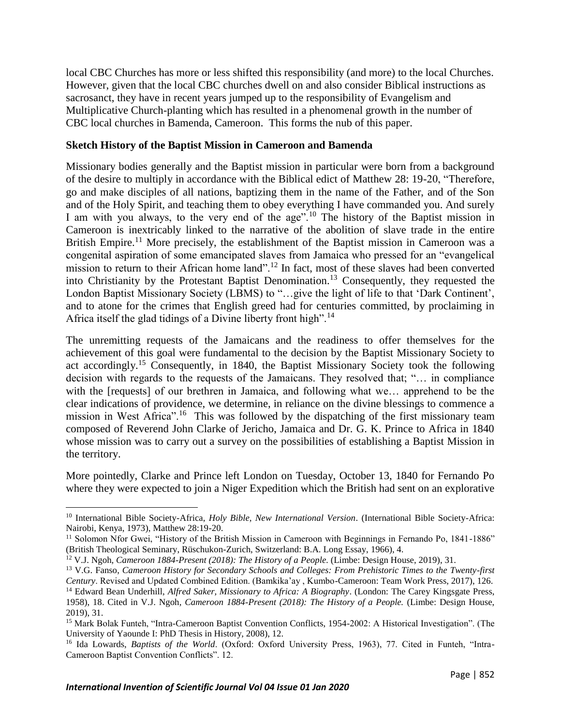local CBC Churches has more or less shifted this responsibility (and more) to the local Churches. However, given that the local CBC churches dwell on and also consider Biblical instructions as sacrosanct, they have in recent years jumped up to the responsibility of Evangelism and Multiplicative Church-planting which has resulted in a phenomenal growth in the number of CBC local churches in Bamenda, Cameroon. This forms the nub of this paper.

#### **Sketch History of the Baptist Mission in Cameroon and Bamenda**

Missionary bodies generally and the Baptist mission in particular were born from a background of the desire to multiply in accordance with the Biblical edict of Matthew 28: 19-20, "Therefore, go and make disciples of all nations, baptizing them in the name of the Father, and of the Son and of the Holy Spirit, and teaching them to obey everything I have commanded you. And surely I am with you always, to the very end of the age".<sup>10</sup> The history of the Baptist mission in Cameroon is inextricably linked to the narrative of the abolition of slave trade in the entire British Empire.<sup>11</sup> More precisely, the establishment of the Baptist mission in Cameroon was a congenital aspiration of some emancipated slaves from Jamaica who pressed for an "evangelical mission to return to their African home land".<sup>12</sup> In fact, most of these slaves had been converted into Christianity by the Protestant Baptist Denomination.<sup>13</sup> Consequently, they requested the London Baptist Missionary Society (LBMS) to "…give the light of life to that 'Dark Continent', and to atone for the crimes that English greed had for centuries committed, by proclaiming in Africa itself the glad tidings of a Divine liberty front high".<sup>14</sup>

The unremitting requests of the Jamaicans and the readiness to offer themselves for the achievement of this goal were fundamental to the decision by the Baptist Missionary Society to act accordingly.<sup>15</sup> Consequently, in 1840, the Baptist Missionary Society took the following decision with regards to the requests of the Jamaicans. They resolved that; "… in compliance with the [requests] of our brethren in Jamaica, and following what we… apprehend to be the clear indications of providence, we determine, in reliance on the divine blessings to commence a mission in West Africa".<sup>16</sup> This was followed by the dispatching of the first missionary team composed of Reverend John Clarke of Jericho, Jamaica and Dr. G. K. Prince to Africa in 1840 whose mission was to carry out a survey on the possibilities of establishing a Baptist Mission in the territory.

More pointedly, Clarke and Prince left London on Tuesday, October 13, 1840 for Fernando Po where they were expected to join a Niger Expedition which the British had sent on an explorative

<sup>10</sup> International Bible Society-Africa, *Holy Bible, New International Version*. (International Bible Society-Africa: Nairobi, Kenya, 1973), Matthew 28:19-20.

<sup>&</sup>lt;sup>11</sup> Solomon Nfor Gwei, "History of the British Mission in Cameroon with Beginnings in Fernando Po, 1841-1886" (British Theological Seminary, Rüschukon-Zurich, Switzerland: B.A. Long Essay, 1966), 4.

<sup>&</sup>lt;sup>12</sup> V.J. Ngoh, Cameroon 1884-Present (2018): The History of a People. (Limbe: Design House, 2019), 31.

<sup>13</sup> V.G. Fanso, *Cameroon History for Secondary Schools and Colleges: From Prehistoric Times to the Twenty-first Century*. Revised and Updated Combined Edition. (Bamkika'ay , Kumbo-Cameroon: Team Work Press, 2017), 126.

<sup>14</sup> Edward Bean Underhill, *Alfred Saker, Missionary to Africa: A Biography*. (London: The Carey Kingsgate Press, 1958), 18. Cited in V.J. Ngoh*, Cameroon 1884-Present (2018): The History of a People.* (Limbe: Design House, 2019), 31.

<sup>&</sup>lt;sup>15</sup> Mark Bolak Funteh, "Intra-Cameroon Baptist Convention Conflicts, 1954-2002: A Historical Investigation". (The University of Yaounde I: PhD Thesis in History, 2008), 12.

<sup>&</sup>lt;sup>16</sup> Ida Lowards, *Baptists of the World*. (Oxford: Oxford University Press, 1963), 77. Cited in Funteh, "Intra-Cameroon Baptist Convention Conflicts". 12.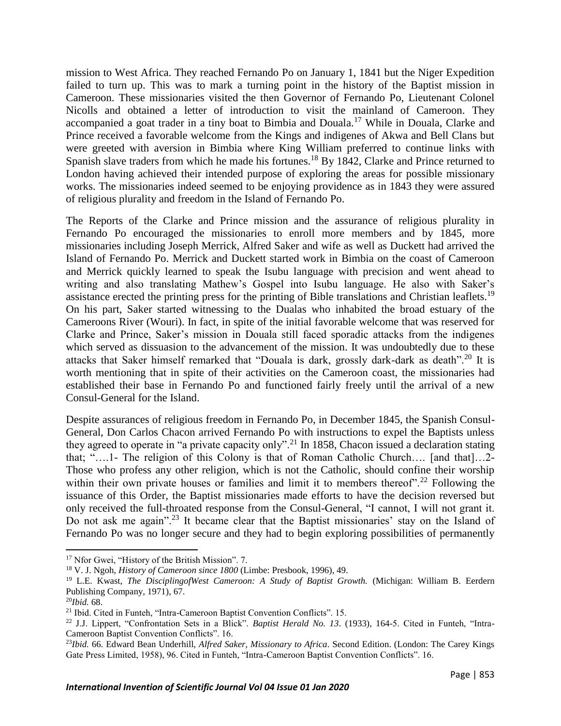mission to West Africa. They reached Fernando Po on January 1, 1841 but the Niger Expedition failed to turn up. This was to mark a turning point in the history of the Baptist mission in Cameroon. These missionaries visited the then Governor of Fernando Po, Lieutenant Colonel Nicolls and obtained a letter of introduction to visit the mainland of Cameroon. They accompanied a goat trader in a tiny boat to Bimbia and Douala.<sup>17</sup> While in Douala, Clarke and Prince received a favorable welcome from the Kings and indigenes of Akwa and Bell Clans but were greeted with aversion in Bimbia where King William preferred to continue links with Spanish slave traders from which he made his fortunes.<sup>18</sup> By 1842, Clarke and Prince returned to London having achieved their intended purpose of exploring the areas for possible missionary works. The missionaries indeed seemed to be enjoying providence as in 1843 they were assured of religious plurality and freedom in the Island of Fernando Po.

The Reports of the Clarke and Prince mission and the assurance of religious plurality in Fernando Po encouraged the missionaries to enroll more members and by 1845, more missionaries including Joseph Merrick, Alfred Saker and wife as well as Duckett had arrived the Island of Fernando Po. Merrick and Duckett started work in Bimbia on the coast of Cameroon and Merrick quickly learned to speak the Isubu language with precision and went ahead to writing and also translating Mathew's Gospel into Isubu language. He also with Saker's assistance erected the printing press for the printing of Bible translations and Christian leaflets.<sup>19</sup> On his part, Saker started witnessing to the Dualas who inhabited the broad estuary of the Cameroons River (Wouri). In fact, in spite of the initial favorable welcome that was reserved for Clarke and Prince, Saker's mission in Douala still faced sporadic attacks from the indigenes which served as dissuasion to the advancement of the mission. It was undoubtedly due to these attacks that Saker himself remarked that "Douala is dark, grossly dark-dark as death".<sup>20</sup> It is worth mentioning that in spite of their activities on the Cameroon coast, the missionaries had established their base in Fernando Po and functioned fairly freely until the arrival of a new Consul-General for the Island.

Despite assurances of religious freedom in Fernando Po, in December 1845, the Spanish Consul-General, Don Carlos Chacon arrived Fernando Po with instructions to expel the Baptists unless they agreed to operate in "a private capacity only".<sup>21</sup> In 1858, Chacon issued a declaration stating that; "….1- The religion of this Colony is that of Roman Catholic Church…. [and that]…2- Those who profess any other religion, which is not the Catholic, should confine their worship within their own private houses or families and limit it to members thereof".<sup>22</sup> Following the issuance of this Order, the Baptist missionaries made efforts to have the decision reversed but only received the full-throated response from the Consul-General, "I cannot, I will not grant it. Do not ask me again".<sup>23</sup> It became clear that the Baptist missionaries' stay on the Island of Fernando Po was no longer secure and they had to begin exploring possibilities of permanently

<sup>&</sup>lt;sup>17</sup> Nfor Gwei, "History of the British Mission". 7.

<sup>18</sup> V. J. Ngoh, *History of Cameroon since 1800* (Limbe: Presbook, 1996), 49.

<sup>19</sup> L.E. Kwast, *The DisciplingofWest Cameroon: A Study of Baptist Growth.* (Michigan: William B. Eerdern Publishing Company, 1971), 67.

<sup>20</sup>*Ibid.* 68.

<sup>21</sup> Ibid. Cited in Funteh, "Intra-Cameroon Baptist Convention Conflicts". 15.

<sup>22</sup> J.J. Lippert, "Confrontation Sets in a Blick". *Baptist Herald No. 13*. (1933), 164-5. Cited in Funteh, "Intra-Cameroon Baptist Convention Conflicts". 16.

<sup>23</sup>*Ibid.* 66. Edward Bean Underhill, *Alfred Saker, Missionary to Africa*. Second Edition. (London: The Carey Kings Gate Press Limited, 1958), 96. Cited in Funteh, "Intra-Cameroon Baptist Convention Conflicts". 16.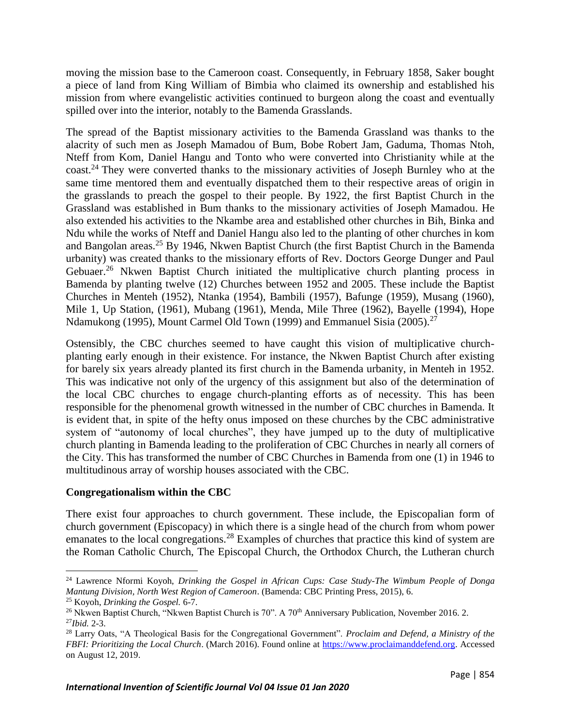moving the mission base to the Cameroon coast. Consequently, in February 1858, Saker bought a piece of land from King William of Bimbia who claimed its ownership and established his mission from where evangelistic activities continued to burgeon along the coast and eventually spilled over into the interior, notably to the Bamenda Grasslands.

The spread of the Baptist missionary activities to the Bamenda Grassland was thanks to the alacrity of such men as Joseph Mamadou of Bum, Bobe Robert Jam, Gaduma, Thomas Ntoh, Nteff from Kom, Daniel Hangu and Tonto who were converted into Christianity while at the coast.<sup>24</sup> They were converted thanks to the missionary activities of Joseph Burnley who at the same time mentored them and eventually dispatched them to their respective areas of origin in the grasslands to preach the gospel to their people. By 1922, the first Baptist Church in the Grassland was established in Bum thanks to the missionary activities of Joseph Mamadou. He also extended his activities to the Nkambe area and established other churches in Bih, Binka and Ndu while the works of Nteff and Daniel Hangu also led to the planting of other churches in kom and Bangolan areas.<sup>25</sup> By 1946, Nkwen Baptist Church (the first Baptist Church in the Bamenda urbanity) was created thanks to the missionary efforts of Rev. Doctors George Dunger and Paul Gebuaer.<sup>26</sup> Nkwen Baptist Church initiated the multiplicative church planting process in Bamenda by planting twelve (12) Churches between 1952 and 2005. These include the Baptist Churches in Menteh (1952), Ntanka (1954), Bambili (1957), Bafunge (1959), Musang (1960), Mile 1, Up Station, (1961), Mubang (1961), Menda, Mile Three (1962), Bayelle (1994), Hope Ndamukong (1995), Mount Carmel Old Town (1999) and Emmanuel Sisia (2005).<sup>27</sup>

Ostensibly, the CBC churches seemed to have caught this vision of multiplicative churchplanting early enough in their existence. For instance, the Nkwen Baptist Church after existing for barely six years already planted its first church in the Bamenda urbanity, in Menteh in 1952. This was indicative not only of the urgency of this assignment but also of the determination of the local CBC churches to engage church-planting efforts as of necessity. This has been responsible for the phenomenal growth witnessed in the number of CBC churches in Bamenda. It is evident that, in spite of the hefty onus imposed on these churches by the CBC administrative system of "autonomy of local churches", they have jumped up to the duty of multiplicative church planting in Bamenda leading to the proliferation of CBC Churches in nearly all corners of the City. This has transformed the number of CBC Churches in Bamenda from one (1) in 1946 to multitudinous array of worship houses associated with the CBC.

#### **Congregationalism within the CBC**

There exist four approaches to church government. These include, the Episcopalian form of church government (Episcopacy) in which there is a single head of the church from whom power emanates to the local congregations.<sup>28</sup> Examples of churches that practice this kind of system are the Roman Catholic Church, The Episcopal Church, the Orthodox Church, the Lutheran church

<sup>24</sup> Lawrence Nformi Koyoh, *Drinking the Gospel in African Cups: Case Study-The Wimbum People of Donga Mantung Division, North West Region of Cameroon*. (Bamenda: CBC Printing Press, 2015), 6.

<sup>25</sup> Koyoh, *Drinking the Gospel.* 6-7.

<sup>&</sup>lt;sup>26</sup> Nkwen Baptist Church, "Nkwen Baptist Church is 70". A 70<sup>th</sup> Anniversary Publication, November 2016. 2. <sup>27</sup>*Ibid.* 2-3.

<sup>28</sup> Larry Oats, "A Theological Basis for the Congregational Government". *Proclaim and Defend, a Ministry of the FBFI: Prioritizing the Local Church*. (March 2016). Found online at [https://www.proclaimanddefend.org.](https://www.proclaimanddefend.org/) Accessed on August 12, 2019.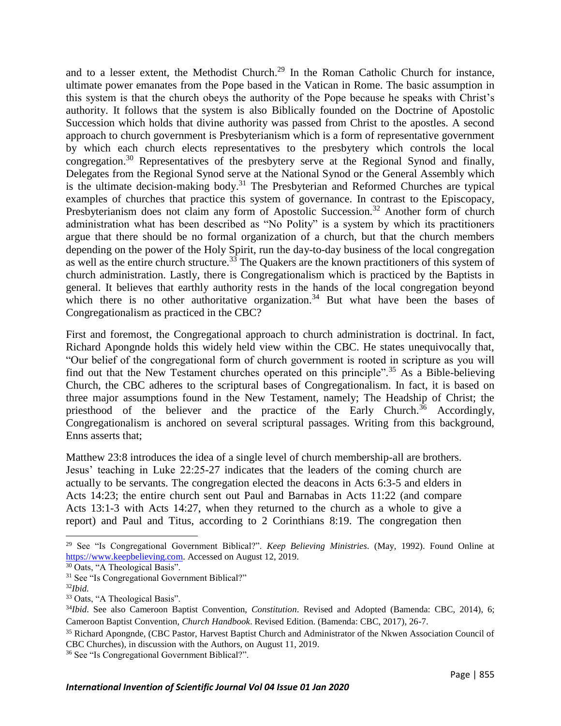and to a lesser extent, the Methodist Church.<sup>29</sup> In the Roman Catholic Church for instance, ultimate power emanates from the Pope based in the Vatican in Rome. The basic assumption in this system is that the church obeys the authority of the Pope because he speaks with Christ's authority. It follows that the system is also Biblically founded on the Doctrine of Apostolic Succession which holds that divine authority was passed from Christ to the apostles. A second approach to church government is Presbyterianism which is a form of representative government by which each church elects representatives to the presbytery which controls the local congregation.<sup>30</sup> Representatives of the presbytery serve at the Regional Synod and finally, Delegates from the Regional Synod serve at the National Synod or the General Assembly which is the ultimate decision-making body.<sup>31</sup> The Presbyterian and Reformed Churches are typical examples of churches that practice this system of governance. In contrast to the Episcopacy, Presbyterianism does not claim any form of Apostolic Succession.<sup>32</sup> Another form of church administration what has been described as "No Polity" is a system by which its practitioners argue that there should be no formal organization of a church, but that the church members depending on the power of the Holy Spirit, run the day-to-day business of the local congregation as well as the entire church structure.<sup>33</sup> The Quakers are the known practitioners of this system of church administration. Lastly, there is Congregationalism which is practiced by the Baptists in general. It believes that earthly authority rests in the hands of the local congregation beyond which there is no other authoritative organization.<sup>34</sup> But what have been the bases of Congregationalism as practiced in the CBC?

First and foremost, the Congregational approach to church administration is doctrinal. In fact, Richard Apongnde holds this widely held view within the CBC. He states unequivocally that, "Our belief of the congregational form of church government is rooted in scripture as you will find out that the New Testament churches operated on this principle".<sup>35</sup> As a Bible-believing Church, the CBC adheres to the scriptural bases of Congregationalism. In fact, it is based on three major assumptions found in the New Testament, namely; The Headship of Christ; the priesthood of the believer and the practice of the Early Church.<sup>36</sup> Accordingly, Congregationalism is anchored on several scriptural passages. Writing from this background, Enns asserts that;

Matthew 23:8 introduces the idea of a single level of church membership-all are brothers. Jesus' teaching in Luke 22:25-27 indicates that the leaders of the coming church are actually to be servants. The congregation elected the deacons in Acts 6:3-5 and elders in Acts 14:23; the entire church sent out Paul and Barnabas in Acts 11:22 (and compare Acts 13:1-3 with Acts 14:27, when they returned to the church as a whole to give a report) and Paul and Titus, according to 2 Corinthians 8:19. The congregation then

<sup>29</sup> See "Is Congregational Government Biblical?". *Keep Believing Ministries*. (May, 1992). Found Online at [https://www.keepbelieving.com.](https://www.keepbelieving.com/) Accessed on August 12, 2019.

<sup>&</sup>lt;sup>30</sup> Oats, "A Theological Basis".

<sup>&</sup>lt;sup>31</sup> See "Is Congregational Government Biblical?"

<sup>32</sup>*Ibid.*

<sup>33</sup> Oats, "A Theological Basis".

<sup>34</sup>*Ibid*. See also Cameroon Baptist Convention, *Constitution*. Revised and Adopted (Bamenda: CBC, 2014), 6; Cameroon Baptist Convention, *Church Handbook*. Revised Edition. (Bamenda: CBC, 2017), 26-7.

<sup>35</sup> Richard Apongnde, (CBC Pastor, Harvest Baptist Church and Administrator of the Nkwen Association Council of CBC Churches), in discussion with the Authors, on August 11, 2019.

<sup>36</sup> See "Is Congregational Government Biblical?".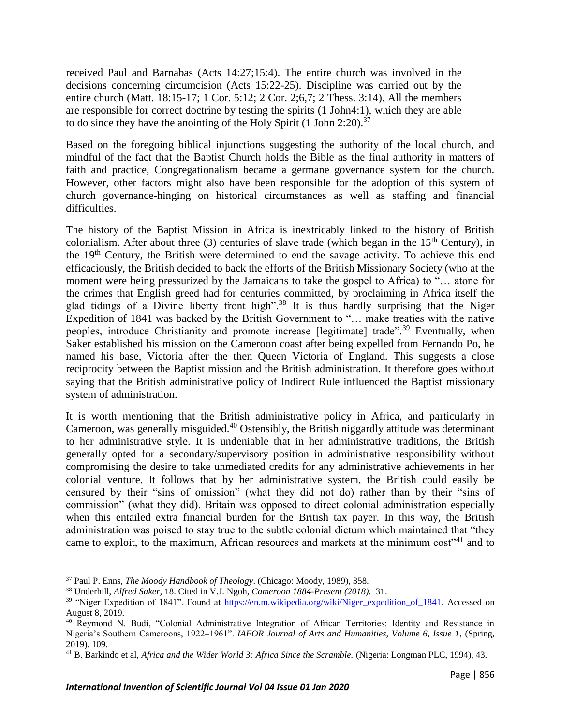received Paul and Barnabas (Acts 14:27;15:4). The entire church was involved in the decisions concerning circumcision (Acts 15:22-25). Discipline was carried out by the entire church (Matt. 18:15-17; 1 Cor. 5:12; 2 Cor. 2;6,7; 2 Thess. 3:14). All the members are responsible for correct doctrine by testing the spirits (1 John4:1), which they are able to do since they have the anointing of the Holy Spirit (1 John 2:20).<sup>37</sup>

Based on the foregoing biblical injunctions suggesting the authority of the local church, and mindful of the fact that the Baptist Church holds the Bible as the final authority in matters of faith and practice, Congregationalism became a germane governance system for the church. However, other factors might also have been responsible for the adoption of this system of church governance-hinging on historical circumstances as well as staffing and financial difficulties.

The history of the Baptist Mission in Africa is inextricably linked to the history of British colonialism. After about three (3) centuries of slave trade (which began in the  $15<sup>th</sup>$  Century), in the 19th Century, the British were determined to end the savage activity. To achieve this end efficaciously, the British decided to back the efforts of the British Missionary Society (who at the moment were being pressurized by the Jamaicans to take the gospel to Africa) to "… atone for the crimes that English greed had for centuries committed, by proclaiming in Africa itself the glad tidings of a Divine liberty front high".<sup>38</sup> It is thus hardly surprising that the Niger Expedition of 1841 was backed by the British Government to "… make treaties with the native peoples, introduce Christianity and promote increase [legitimate] trade"<sup>39</sup> Eventually, when Saker established his mission on the Cameroon coast after being expelled from Fernando Po, he named his base, Victoria after the then Queen Victoria of England. This suggests a close reciprocity between the Baptist mission and the British administration. It therefore goes without saying that the British administrative policy of Indirect Rule influenced the Baptist missionary system of administration.

It is worth mentioning that the British administrative policy in Africa, and particularly in Cameroon, was generally misguided.<sup>40</sup> Ostensibly, the British niggardly attitude was determinant to her administrative style. It is undeniable that in her administrative traditions, the British generally opted for a secondary/supervisory position in administrative responsibility without compromising the desire to take unmediated credits for any administrative achievements in her colonial venture. It follows that by her administrative system, the British could easily be censured by their "sins of omission" (what they did not do) rather than by their "sins of commission" (what they did). Britain was opposed to direct colonial administration especially when this entailed extra financial burden for the British tax payer. In this way, the British administration was poised to stay true to the subtle colonial dictum which maintained that "they came to exploit, to the maximum, African resources and markets at the minimum cost<sup>341</sup> and to

<sup>37</sup> Paul P. Enns, *The Moody Handbook of Theology*. (Chicago: Moody, 1989), 358.

<sup>38</sup> Underhill, *Alfred Saker,* 18. Cited in V.J. Ngoh*, Cameroon 1884-Present (2018).* 31.

<sup>&</sup>lt;sup>39</sup> "Niger Expedition of 1841". Found at [https://en.m.wikipedia.org/wiki/Niger\\_expedition\\_of\\_1841.](https://en.m.wikipedia.org/wiki/Niger_expedition_of_1841) Accessed on August 8, 2019.

<sup>40</sup> Reymond N. Budi, "Colonial Administrative Integration of African Territories: Identity and Resistance in Nigeria's Southern Cameroons, 1922–1961". *IAFOR Journal of Arts and Humanities, Volume 6, Issue 1*, (Spring, 2019). 109.

<sup>41</sup> B. Barkindo et al, *Africa and the Wider World 3: Africa Since the Scramble.* (Nigeria: Longman PLC, 1994), 43.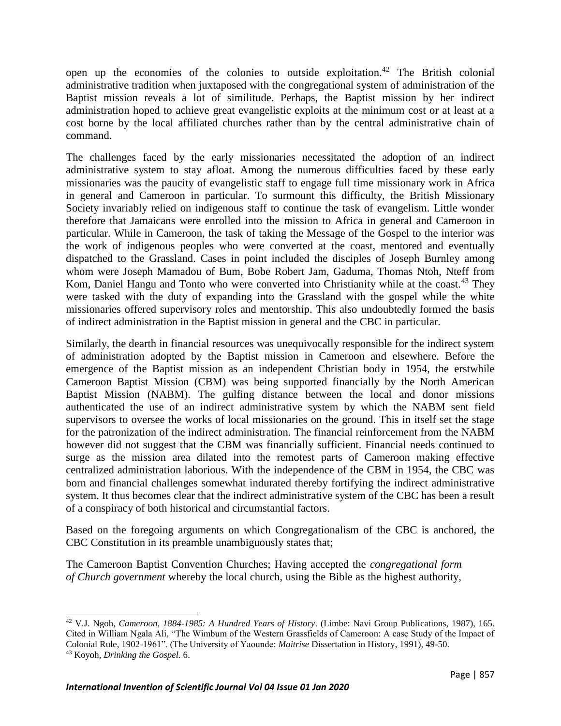open up the economies of the colonies to outside exploitation.<sup>42</sup> The British colonial administrative tradition when juxtaposed with the congregational system of administration of the Baptist mission reveals a lot of similitude. Perhaps, the Baptist mission by her indirect administration hoped to achieve great evangelistic exploits at the minimum cost or at least at a cost borne by the local affiliated churches rather than by the central administrative chain of command.

The challenges faced by the early missionaries necessitated the adoption of an indirect administrative system to stay afloat. Among the numerous difficulties faced by these early missionaries was the paucity of evangelistic staff to engage full time missionary work in Africa in general and Cameroon in particular. To surmount this difficulty, the British Missionary Society invariably relied on indigenous staff to continue the task of evangelism. Little wonder therefore that Jamaicans were enrolled into the mission to Africa in general and Cameroon in particular. While in Cameroon, the task of taking the Message of the Gospel to the interior was the work of indigenous peoples who were converted at the coast, mentored and eventually dispatched to the Grassland. Cases in point included the disciples of Joseph Burnley among whom were Joseph Mamadou of Bum, Bobe Robert Jam, Gaduma, Thomas Ntoh, Nteff from Kom, Daniel Hangu and Tonto who were converted into Christianity while at the coast.<sup>43</sup> They were tasked with the duty of expanding into the Grassland with the gospel while the white missionaries offered supervisory roles and mentorship. This also undoubtedly formed the basis of indirect administration in the Baptist mission in general and the CBC in particular.

Similarly, the dearth in financial resources was unequivocally responsible for the indirect system of administration adopted by the Baptist mission in Cameroon and elsewhere. Before the emergence of the Baptist mission as an independent Christian body in 1954, the erstwhile Cameroon Baptist Mission (CBM) was being supported financially by the North American Baptist Mission (NABM). The gulfing distance between the local and donor missions authenticated the use of an indirect administrative system by which the NABM sent field supervisors to oversee the works of local missionaries on the ground. This in itself set the stage for the patronization of the indirect administration. The financial reinforcement from the NABM however did not suggest that the CBM was financially sufficient. Financial needs continued to surge as the mission area dilated into the remotest parts of Cameroon making effective centralized administration laborious. With the independence of the CBM in 1954, the CBC was born and financial challenges somewhat indurated thereby fortifying the indirect administrative system. It thus becomes clear that the indirect administrative system of the CBC has been a result of a conspiracy of both historical and circumstantial factors.

Based on the foregoing arguments on which Congregationalism of the CBC is anchored, the CBC Constitution in its preamble unambiguously states that;

The Cameroon Baptist Convention Churches; Having accepted the *congregational form of Church government* whereby the local church, using the Bible as the highest authority,

<sup>42</sup> V.J. Ngoh, *Cameroon, 1884-1985: A Hundred Years of History*. (Limbe: Navi Group Publications, 1987), 165. Cited in William Ngala Ali, "The Wimbum of the Western Grassfields of Cameroon: A case Study of the Impact of Colonial Rule, 1902-1961". (The University of Yaounde: *Maitrise* Dissertation in History, 1991), 49-50. <sup>43</sup> Koyoh, *Drinking the Gospel.* 6.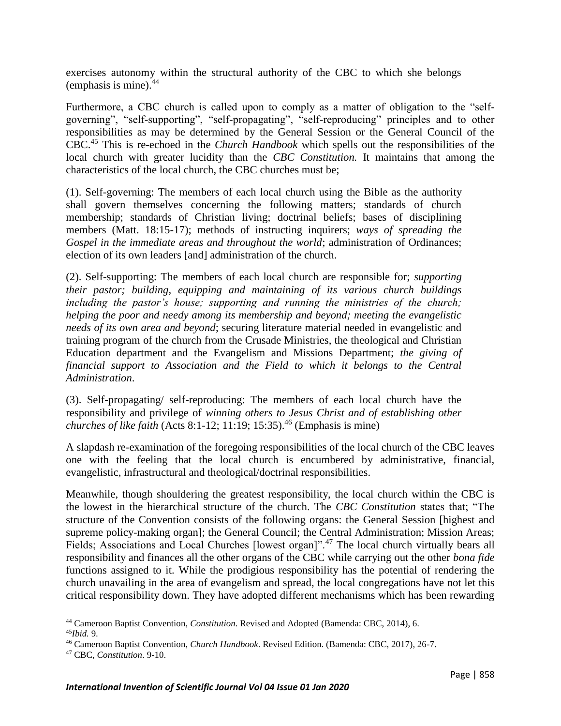exercises autonomy within the structural authority of the CBC to which she belongs (emphasis is mine). $44$ 

Furthermore, a CBC church is called upon to comply as a matter of obligation to the "selfgoverning", "self-supporting", "self-propagating", "self-reproducing" principles and to other responsibilities as may be determined by the General Session or the General Council of the CBC.<sup>45</sup> This is re-echoed in the *Church Handbook* which spells out the responsibilities of the local church with greater lucidity than the *CBC Constitution.* It maintains that among the characteristics of the local church, the CBC churches must be;

(1). Self-governing: The members of each local church using the Bible as the authority shall govern themselves concerning the following matters; standards of church membership; standards of Christian living; doctrinal beliefs; bases of disciplining members (Matt. 18:15-17); methods of instructing inquirers; *ways of spreading the Gospel in the immediate areas and throughout the world*; administration of Ordinances; election of its own leaders [and] administration of the church.

(2). Self-supporting: The members of each local church are responsible for; *supporting their pastor; building, equipping and maintaining of its various church buildings including the pastor's house; supporting and running the ministries of the church; helping the poor and needy among its membership and beyond; meeting the evangelistic needs of its own area and beyond*; securing literature material needed in evangelistic and training program of the church from the Crusade Ministries, the theological and Christian Education department and the Evangelism and Missions Department; *the giving of financial support to Association and the Field to which it belongs to the Central Administration*.

(3). Self-propagating/ self-reproducing: The members of each local church have the responsibility and privilege of *winning others to Jesus Christ and of establishing other churches of like faith* (Acts 8:1-12; 11:19; 15:35).<sup>46</sup> (Emphasis is mine)

A slapdash re-examination of the foregoing responsibilities of the local church of the CBC leaves one with the feeling that the local church is encumbered by administrative, financial, evangelistic, infrastructural and theological/doctrinal responsibilities.

Meanwhile, though shouldering the greatest responsibility, the local church within the CBC is the lowest in the hierarchical structure of the church. The *CBC Constitution* states that; "The structure of the Convention consists of the following organs: the General Session [highest and supreme policy-making organ]; the General Council; the Central Administration; Mission Areas; Fields; Associations and Local Churches [lowest organ]".<sup>47</sup> The local church virtually bears all responsibility and finances all the other organs of the CBC while carrying out the other *bona fide* functions assigned to it. While the prodigious responsibility has the potential of rendering the church unavailing in the area of evangelism and spread, the local congregations have not let this critical responsibility down. They have adopted different mechanisms which has been rewarding

<sup>44</sup> Cameroon Baptist Convention, *Constitution*. Revised and Adopted (Bamenda: CBC, 2014), 6. <sup>45</sup>*Ibid.* 9.

<sup>46</sup> Cameroon Baptist Convention, *Church Handbook*. Revised Edition. (Bamenda: CBC, 2017), 26-7.

<sup>47</sup> CBC, *Constitution*. 9-10.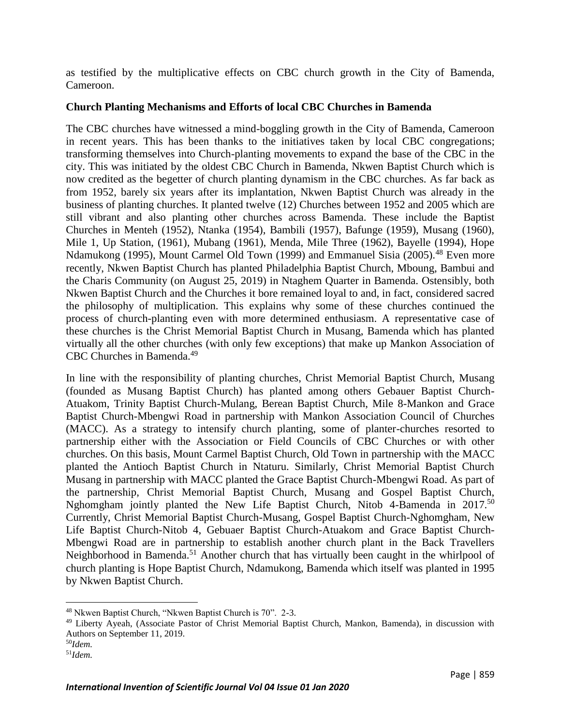as testified by the multiplicative effects on CBC church growth in the City of Bamenda, Cameroon.

### **Church Planting Mechanisms and Efforts of local CBC Churches in Bamenda**

The CBC churches have witnessed a mind-boggling growth in the City of Bamenda, Cameroon in recent years. This has been thanks to the initiatives taken by local CBC congregations; transforming themselves into Church-planting movements to expand the base of the CBC in the city. This was initiated by the oldest CBC Church in Bamenda, Nkwen Baptist Church which is now credited as the begetter of church planting dynamism in the CBC churches. As far back as from 1952, barely six years after its implantation, Nkwen Baptist Church was already in the business of planting churches. It planted twelve (12) Churches between 1952 and 2005 which are still vibrant and also planting other churches across Bamenda. These include the Baptist Churches in Menteh (1952), Ntanka (1954), Bambili (1957), Bafunge (1959), Musang (1960), Mile 1, Up Station, (1961), Mubang (1961), Menda, Mile Three (1962), Bayelle (1994), Hope Ndamukong (1995), Mount Carmel Old Town (1999) and Emmanuel Sisia (2005).<sup>48</sup> Even more recently, Nkwen Baptist Church has planted Philadelphia Baptist Church, Mboung, Bambui and the Charis Community (on August 25, 2019) in Ntaghem Quarter in Bamenda. Ostensibly, both Nkwen Baptist Church and the Churches it bore remained loyal to and, in fact, considered sacred the philosophy of multiplication. This explains why some of these churches continued the process of church-planting even with more determined enthusiasm. A representative case of these churches is the Christ Memorial Baptist Church in Musang, Bamenda which has planted virtually all the other churches (with only few exceptions) that make up Mankon Association of CBC Churches in Bamenda.<sup>49</sup>

In line with the responsibility of planting churches, Christ Memorial Baptist Church, Musang (founded as Musang Baptist Church) has planted among others Gebauer Baptist Church-Atuakom, Trinity Baptist Church-Mulang, Berean Baptist Church, Mile 8-Mankon and Grace Baptist Church-Mbengwi Road in partnership with Mankon Association Council of Churches (MACC). As a strategy to intensify church planting, some of planter-churches resorted to partnership either with the Association or Field Councils of CBC Churches or with other churches. On this basis, Mount Carmel Baptist Church, Old Town in partnership with the MACC planted the Antioch Baptist Church in Ntaturu. Similarly, Christ Memorial Baptist Church Musang in partnership with MACC planted the Grace Baptist Church-Mbengwi Road. As part of the partnership, Christ Memorial Baptist Church, Musang and Gospel Baptist Church, Nghomgham jointly planted the New Life Baptist Church, Nitob 4-Bamenda in 2017.<sup>50</sup> Currently, Christ Memorial Baptist Church-Musang, Gospel Baptist Church-Nghomgham, New Life Baptist Church-Nitob 4, Gebuaer Baptist Church-Atuakom and Grace Baptist Church-Mbengwi Road are in partnership to establish another church plant in the Back Travellers Neighborhood in Bamenda.<sup>51</sup> Another church that has virtually been caught in the whirlpool of church planting is Hope Baptist Church, Ndamukong, Bamenda which itself was planted in 1995 by Nkwen Baptist Church.

l

<sup>48</sup> Nkwen Baptist Church, "Nkwen Baptist Church is 70". 2-3.

<sup>49</sup> Liberty Ayeah, (Associate Pastor of Christ Memorial Baptist Church, Mankon, Bamenda), in discussion with Authors on September 11, 2019.

<sup>50</sup>*Idem.* 

<sup>51</sup>*Idem.*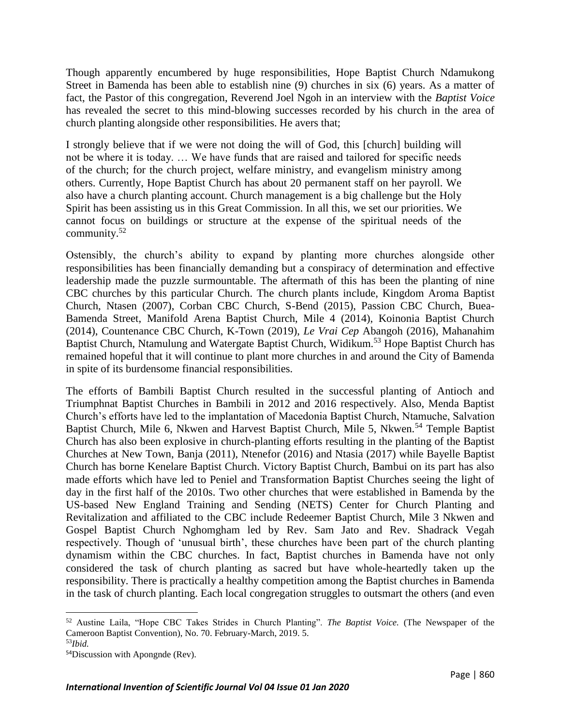Though apparently encumbered by huge responsibilities, Hope Baptist Church Ndamukong Street in Bamenda has been able to establish nine (9) churches in six (6) years. As a matter of fact, the Pastor of this congregation, Reverend Joel Ngoh in an interview with the *Baptist Voice*  has revealed the secret to this mind-blowing successes recorded by his church in the area of church planting alongside other responsibilities. He avers that;

I strongly believe that if we were not doing the will of God, this [church] building will not be where it is today. … We have funds that are raised and tailored for specific needs of the church; for the church project, welfare ministry, and evangelism ministry among others. Currently, Hope Baptist Church has about 20 permanent staff on her payroll. We also have a church planting account. Church management is a big challenge but the Holy Spirit has been assisting us in this Great Commission. In all this, we set our priorities. We cannot focus on buildings or structure at the expense of the spiritual needs of the community.<sup>52</sup>

Ostensibly, the church's ability to expand by planting more churches alongside other responsibilities has been financially demanding but a conspiracy of determination and effective leadership made the puzzle surmountable. The aftermath of this has been the planting of nine CBC churches by this particular Church. The church plants include, Kingdom Aroma Baptist Church, Ntasen (2007), Corban CBC Church, S-Bend (2015), Passion CBC Church, Buea-Bamenda Street, Manifold Arena Baptist Church, Mile 4 (2014), Koinonia Baptist Church (2014), Countenance CBC Church, K-Town (2019), *Le Vrai Cep* Abangoh (2016), Mahanahim Baptist Church, Ntamulung and Watergate Baptist Church, Widikum.<sup>53</sup> Hope Baptist Church has remained hopeful that it will continue to plant more churches in and around the City of Bamenda in spite of its burdensome financial responsibilities.

The efforts of Bambili Baptist Church resulted in the successful planting of Antioch and Triumphnat Baptist Churches in Bambili in 2012 and 2016 respectively. Also, Menda Baptist Church's efforts have led to the implantation of Macedonia Baptist Church, Ntamuche, Salvation Baptist Church, Mile 6, Nkwen and Harvest Baptist Church, Mile 5, Nkwen.<sup>54</sup> Temple Baptist Church has also been explosive in church-planting efforts resulting in the planting of the Baptist Churches at New Town, Banja (2011), Ntenefor (2016) and Ntasia (2017) while Bayelle Baptist Church has borne Kenelare Baptist Church. Victory Baptist Church, Bambui on its part has also made efforts which have led to Peniel and Transformation Baptist Churches seeing the light of day in the first half of the 2010s. Two other churches that were established in Bamenda by the US-based New England Training and Sending (NETS) Center for Church Planting and Revitalization and affiliated to the CBC include Redeemer Baptist Church, Mile 3 Nkwen and Gospel Baptist Church Nghomgham led by Rev. Sam Jato and Rev. Shadrack Vegah respectively. Though of 'unusual birth', these churches have been part of the church planting dynamism within the CBC churches. In fact, Baptist churches in Bamenda have not only considered the task of church planting as sacred but have whole-heartedly taken up the responsibility. There is practically a healthy competition among the Baptist churches in Bamenda in the task of church planting. Each local congregation struggles to outsmart the others (and even

<sup>52</sup> Austine Laila, "Hope CBC Takes Strides in Church Planting". *The Baptist Voice.* (The Newspaper of the Cameroon Baptist Convention), No. 70. February-March, 2019. 5.

<sup>53</sup>*Ibid.* 

<sup>54</sup>Discussion with Apongnde (Rev).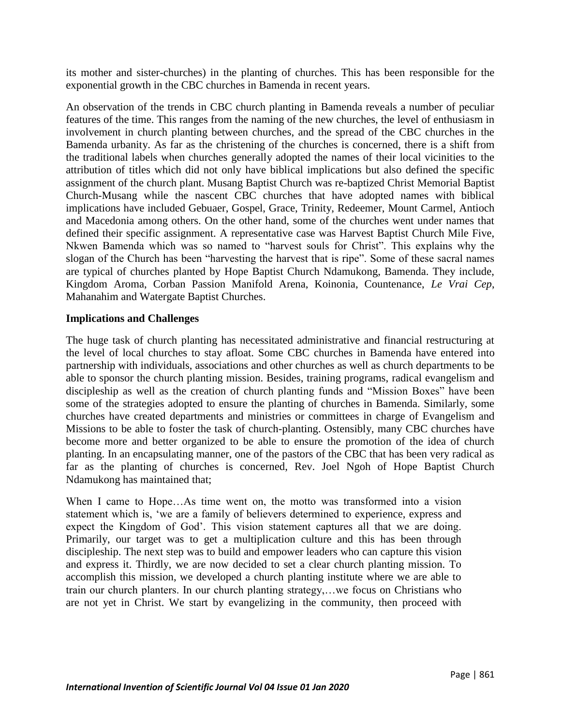its mother and sister-churches) in the planting of churches. This has been responsible for the exponential growth in the CBC churches in Bamenda in recent years.

An observation of the trends in CBC church planting in Bamenda reveals a number of peculiar features of the time. This ranges from the naming of the new churches, the level of enthusiasm in involvement in church planting between churches, and the spread of the CBC churches in the Bamenda urbanity. As far as the christening of the churches is concerned, there is a shift from the traditional labels when churches generally adopted the names of their local vicinities to the attribution of titles which did not only have biblical implications but also defined the specific assignment of the church plant. Musang Baptist Church was re-baptized Christ Memorial Baptist Church-Musang while the nascent CBC churches that have adopted names with biblical implications have included Gebuaer, Gospel, Grace, Trinity, Redeemer, Mount Carmel, Antioch and Macedonia among others. On the other hand, some of the churches went under names that defined their specific assignment. A representative case was Harvest Baptist Church Mile Five, Nkwen Bamenda which was so named to "harvest souls for Christ". This explains why the slogan of the Church has been "harvesting the harvest that is ripe". Some of these sacral names are typical of churches planted by Hope Baptist Church Ndamukong, Bamenda. They include, Kingdom Aroma, Corban Passion Manifold Arena, Koinonia, Countenance, *Le Vrai Cep*, Mahanahim and Watergate Baptist Churches.

#### **Implications and Challenges**

The huge task of church planting has necessitated administrative and financial restructuring at the level of local churches to stay afloat. Some CBC churches in Bamenda have entered into partnership with individuals, associations and other churches as well as church departments to be able to sponsor the church planting mission. Besides, training programs, radical evangelism and discipleship as well as the creation of church planting funds and "Mission Boxes" have been some of the strategies adopted to ensure the planting of churches in Bamenda. Similarly, some churches have created departments and ministries or committees in charge of Evangelism and Missions to be able to foster the task of church-planting. Ostensibly, many CBC churches have become more and better organized to be able to ensure the promotion of the idea of church planting. In an encapsulating manner, one of the pastors of the CBC that has been very radical as far as the planting of churches is concerned, Rev. Joel Ngoh of Hope Baptist Church Ndamukong has maintained that;

When I came to Hope...As time went on, the motto was transformed into a vision statement which is, 'we are a family of believers determined to experience, express and expect the Kingdom of God'. This vision statement captures all that we are doing. Primarily, our target was to get a multiplication culture and this has been through discipleship. The next step was to build and empower leaders who can capture this vision and express it. Thirdly, we are now decided to set a clear church planting mission. To accomplish this mission, we developed a church planting institute where we are able to train our church planters. In our church planting strategy,…we focus on Christians who are not yet in Christ. We start by evangelizing in the community, then proceed with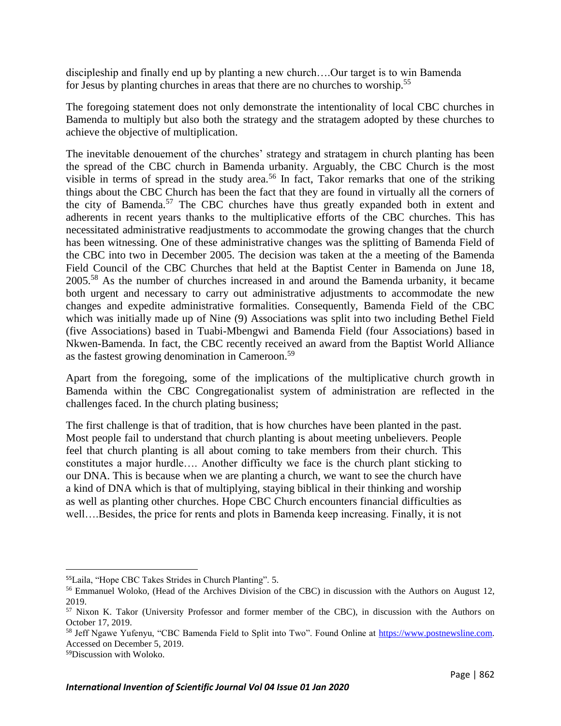discipleship and finally end up by planting a new church….Our target is to win Bamenda for Jesus by planting churches in areas that there are no churches to worship.<sup>55</sup>

The foregoing statement does not only demonstrate the intentionality of local CBC churches in Bamenda to multiply but also both the strategy and the stratagem adopted by these churches to achieve the objective of multiplication.

The inevitable denouement of the churches' strategy and stratagem in church planting has been the spread of the CBC church in Bamenda urbanity. Arguably, the CBC Church is the most visible in terms of spread in the study area.<sup>56</sup> In fact, Takor remarks that one of the striking things about the CBC Church has been the fact that they are found in virtually all the corners of the city of Bamenda.<sup>57</sup> The CBC churches have thus greatly expanded both in extent and adherents in recent years thanks to the multiplicative efforts of the CBC churches. This has necessitated administrative readjustments to accommodate the growing changes that the church has been witnessing. One of these administrative changes was the splitting of Bamenda Field of the CBC into two in December 2005. The decision was taken at the a meeting of the Bamenda Field Council of the CBC Churches that held at the Baptist Center in Bamenda on June 18, 2005.<sup>58</sup> As the number of churches increased in and around the Bamenda urbanity, it became both urgent and necessary to carry out administrative adjustments to accommodate the new changes and expedite administrative formalities. Consequently, Bamenda Field of the CBC which was initially made up of Nine (9) Associations was split into two including Bethel Field (five Associations) based in Tuabi-Mbengwi and Bamenda Field (four Associations) based in Nkwen-Bamenda. In fact, the CBC recently received an award from the Baptist World Alliance as the fastest growing denomination in Cameroon.<sup>59</sup>

Apart from the foregoing, some of the implications of the multiplicative church growth in Bamenda within the CBC Congregationalist system of administration are reflected in the challenges faced. In the church plating business;

The first challenge is that of tradition, that is how churches have been planted in the past. Most people fail to understand that church planting is about meeting unbelievers. People feel that church planting is all about coming to take members from their church. This constitutes a major hurdle…. Another difficulty we face is the church plant sticking to our DNA. This is because when we are planting a church, we want to see the church have a kind of DNA which is that of multiplying, staying biblical in their thinking and worship as well as planting other churches. Hope CBC Church encounters financial difficulties as well….Besides, the price for rents and plots in Bamenda keep increasing. Finally, it is not

 $\overline{\phantom{a}}$ 

<sup>55</sup>Laila, "Hope CBC Takes Strides in Church Planting". 5.

<sup>&</sup>lt;sup>56</sup> Emmanuel Woloko, (Head of the Archives Division of the CBC) in discussion with the Authors on August 12, 2019.

<sup>57</sup> Nixon K. Takor (University Professor and former member of the CBC), in discussion with the Authors on October 17, 2019.

<sup>58</sup> Jeff Ngawe Yufenyu, "CBC Bamenda Field to Split into Two". Found Online at [https://www.postnewsline.com.](https://www.postnewsline.com/) Accessed on December 5, 2019.

<sup>59</sup>Discussion with Woloko.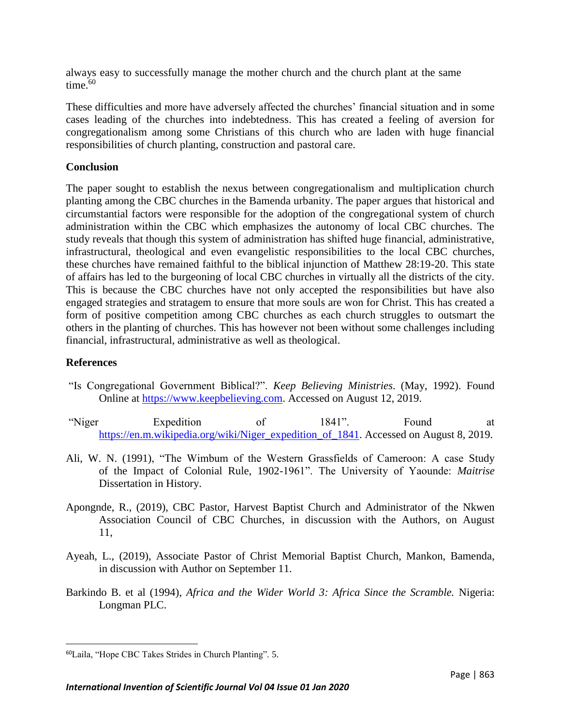always easy to successfully manage the mother church and the church plant at the same time. $60$ 

These difficulties and more have adversely affected the churches' financial situation and in some cases leading of the churches into indebtedness. This has created a feeling of aversion for congregationalism among some Christians of this church who are laden with huge financial responsibilities of church planting, construction and pastoral care.

## **Conclusion**

The paper sought to establish the nexus between congregationalism and multiplication church planting among the CBC churches in the Bamenda urbanity. The paper argues that historical and circumstantial factors were responsible for the adoption of the congregational system of church administration within the CBC which emphasizes the autonomy of local CBC churches. The study reveals that though this system of administration has shifted huge financial, administrative, infrastructural, theological and even evangelistic responsibilities to the local CBC churches, these churches have remained faithful to the biblical injunction of Matthew 28:19-20. This state of affairs has led to the burgeoning of local CBC churches in virtually all the districts of the city. This is because the CBC churches have not only accepted the responsibilities but have also engaged strategies and stratagem to ensure that more souls are won for Christ. This has created a form of positive competition among CBC churches as each church struggles to outsmart the others in the planting of churches. This has however not been without some challenges including financial, infrastructural, administrative as well as theological.

# **References**

 $\overline{\phantom{a}}$ 

- "Is Congregational Government Biblical?". *Keep Believing Ministries*. (May, 1992). Found Online at [https://www.keepbelieving.com.](https://www.keepbelieving.com/) Accessed on August 12, 2019.
- "Niger Expedition of 1841". Found at [https://en.m.wikipedia.org/wiki/Niger\\_expedition\\_of\\_1841.](https://en.m.wikipedia.org/wiki/Niger_expedition_of_1841) Accessed on August 8, 2019.
- Ali, W. N. (1991), "The Wimbum of the Western Grassfields of Cameroon: A case Study of the Impact of Colonial Rule, 1902-1961". The University of Yaounde: *Maitrise* Dissertation in History.
- Apongnde, R., (2019), CBC Pastor, Harvest Baptist Church and Administrator of the Nkwen Association Council of CBC Churches, in discussion with the Authors, on August 11,
- Ayeah, L., (2019), Associate Pastor of Christ Memorial Baptist Church, Mankon, Bamenda, in discussion with Author on September 11.
- Barkindo B. et al (1994), *Africa and the Wider World 3: Africa Since the Scramble.* Nigeria: Longman PLC.

<sup>60</sup>Laila, "Hope CBC Takes Strides in Church Planting". 5.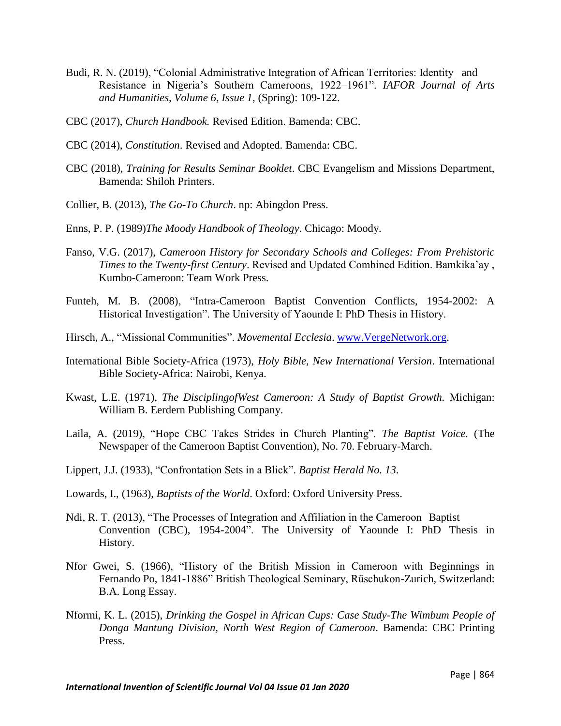- Budi, R. N. (2019), "Colonial Administrative Integration of African Territories: Identity and Resistance in Nigeria's Southern Cameroons, 1922–1961". *IAFOR Journal of Arts and Humanities, Volume 6, Issue 1*, (Spring): 109-122.
- CBC (2017), *Church Handbook.* Revised Edition. Bamenda: CBC.
- CBC (2014), *Constitution*. Revised and Adopted. Bamenda: CBC.
- CBC (2018), *Training for Results Seminar Booklet*. CBC Evangelism and Missions Department, Bamenda: Shiloh Printers.
- Collier, B. (2013), *The Go-To Church*. np: Abingdon Press.
- Enns, P. P. (1989)*The Moody Handbook of Theology*. Chicago: Moody.
- Fanso, V.G. (2017), *Cameroon History for Secondary Schools and Colleges: From Prehistoric Times to the Twenty-first Century*. Revised and Updated Combined Edition. Bamkika'ay , Kumbo-Cameroon: Team Work Press.
- Funteh, M. B. (2008), "Intra-Cameroon Baptist Convention Conflicts, 1954-2002: A Historical Investigation". The University of Yaounde I: PhD Thesis in History.
- Hirsch, A., "Missional Communities". *Movemental Ecclesia*. [www.VergeNetwork.org.](http://www.vergenetwork.org/)
- International Bible Society-Africa (1973), *Holy Bible, New International Version*. International Bible Society-Africa: Nairobi, Kenya.
- Kwast, L.E. (1971), *The DisciplingofWest Cameroon: A Study of Baptist Growth.* Michigan: William B. Eerdern Publishing Company.
- Laila, A. (2019), "Hope CBC Takes Strides in Church Planting". *The Baptist Voice.* (The Newspaper of the Cameroon Baptist Convention), No. 70. February-March.
- Lippert, J.J. (1933), "Confrontation Sets in a Blick". *Baptist Herald No. 13*.
- Lowards, I., (1963), *Baptists of the World*. Oxford: Oxford University Press.
- Ndi, R. T. (2013), "The Processes of Integration and Affiliation in the Cameroon Baptist Convention (CBC), 1954-2004". The University of Yaounde I: PhD Thesis in History.
- Nfor Gwei, S. (1966), "History of the British Mission in Cameroon with Beginnings in Fernando Po, 1841-1886" British Theological Seminary, Rüschukon-Zurich, Switzerland: B.A. Long Essay.
- Nformi, K. L. (2015), *Drinking the Gospel in African Cups: Case Study-The Wimbum People of Donga Mantung Division, North West Region of Cameroon*. Bamenda: CBC Printing Press.